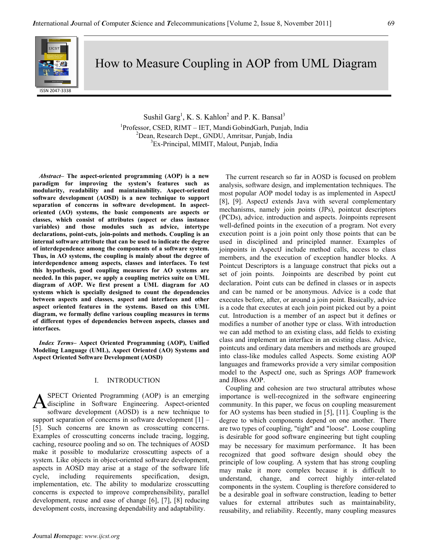

How to Measure Coupling in AOP from UML Diagram

Sushil Garg<sup>1</sup>, K. S. Kahlon<sup>2</sup> and P. K. Bansal<sup>3</sup> 1 Professor, CSED, RIMT – IET, Mandi GobindGarh, Punjab, India <sup>2</sup>Dean, Research Dept., GNDU, Amritsar, Punjab, India <sup>3</sup>Ex-Principal, MIMIT, Malout, Punjab, India

Abstract– The aspect-oriented programming (AOP) is a new paradigm for improving the system's features such as modularity, readability and maintainability. Aspect-oriented software development (AOSD) is a new technique to support separation of concerns in software development. In aspectoriented (AO) systems, the basic components are aspects or classes, which consist of attributes (aspect or class instance variables) and those modules such as advice, intertype declarations, point-cuts, join-points and methods. Coupling is an internal software attribute that can be used to indicate the degree of interdependence among the components of a software system. Thus, in AO systems, the coupling is mainly about the degree of interdependence among aspects, classes and interfaces. To test this hypothesis, good coupling measures for AO systems are needed. In this paper, we apply a coupling metrics suite on UML diagram of AOP. We first present a UML diagram for AO systems which is specially designed to count the dependencies between aspects and classes, aspect and interfaces and other aspect oriented features in the systems. Based on this UML diagram, we formally define various coupling measures in terms of different types of dependencies between aspects, classes and interfaces.

Index Terms– Aspect Oriented Programming (AOP), Unified Modeling Language (UML), Aspect Oriented (AO) Systems and Aspect Oriented Software Development (AOSD)

## I. INTRODUCTION

SPECT Oriented Programming (AOP) is an emerging discipline in Software Engineering. Aspect-oriented software development (AOSD) is a new technique to support separation of concerns in software development [1] – [5]. Such concerns are known as crosscutting concerns. Examples of crosscutting concerns include tracing, logging, caching, resource pooling and so on. The techniques of AOSD make it possible to modularize crosscutting aspects of a system. Like objects in object-oriented software development, aspects in AOSD may arise at a stage of the software life cycle, including requirements specification, design, implementation, etc. The ability to modularize crosscutting concerns is expected to improve comprehensibility, parallel development, reuse and ease of change [6], [7], [8] reducing development costs, increasing dependability and adaptability. A

The current research so far in AOSD is focused on problem analysis, software design, and implementation techniques. The most popular AOP model today is as implemented in AspectJ [8], [9]. AspectJ extends Java with several complementary mechanisms, namely join points (JPs), pointcut descriptors (PCDs), advice, introduction and aspects. Joinpoints represent well-defined points in the execution of a program. Not every execution point is a join point only those points that can be used in disciplined and principled manner. Examples of joinpoints in AspectJ include method calls, access to class members, and the execution of exception handler blocks. A Pointcut Descriptors is a language construct that picks out a set of join points. Joinpoints are described by point cut declaration. Point cuts can be defined in classes or in aspects and can be named or be anonymous. Advice is a code that executes before, after, or around a join point. Basically, advice is a code that executes at each join point picked out by a point cut. Introduction is a member of an aspect but it defines or modifies a number of another type or class. With introduction we can add method to an existing class, add fields to existing class and implement an interface in an existing class. Advice, pointcuts and ordinary data members and methods are grouped into class-like modules called Aspects. Some existing AOP languages and frameworks provide a very similar composition model to the AspectJ one, such as Springs AOP framework and JBoss AOP.

Coupling and cohesion are two structural attributes whose importance is well-recognized in the software engineering community. In this paper, we focus on coupling measurement for AO systems has been studied in [5], [11]. Coupling is the degree to which components depend on one another. There are two types of coupling, "tight" and "loose". Loose coupling is desirable for good software engineering but tight coupling may be necessary for maximum performance. It has been recognized that good software design should obey the principle of low coupling. A system that has strong coupling may make it more complex because it is difficult to understand, change, and correct highly inter-related components in the system. Coupling is therefore considered to be a desirable goal in software construction, leading to better values for external attributes such as maintainability, reusability, and reliability. Recently, many coupling measures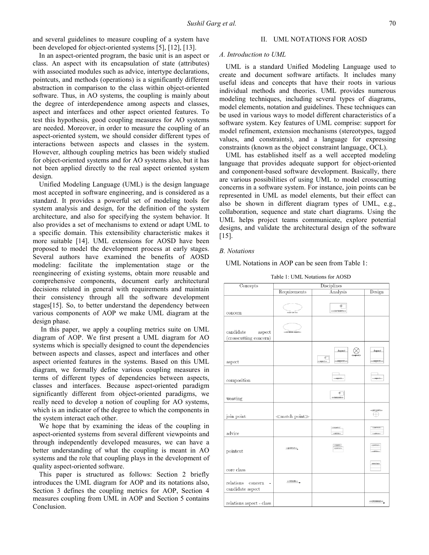and several guidelines to measure coupling of a system have been developed for object-oriented systems [5], [12], [13].

In an aspect-oriented program, the basic unit is an aspect or class. An aspect with its encapsulation of state (attributes) with associated modules such as advice, intertype declarations, pointcuts, and methods (operations) is a significantly different abstraction in comparison to the class within object-oriented software. Thus, in AO systems, the coupling is mainly about the degree of interdependence among aspects and classes, aspect and interfaces and other aspect oriented features. To test this hypothesis, good coupling measures for AO systems are needed. Moreover, in order to measure the coupling of an aspect-oriented system, we should consider different types of interactions between aspects and classes in the system. However, although coupling metrics has been widely studied for object-oriented systems and for AO systems also, but it has not been applied directly to the real aspect oriented system design.

Unified Modeling Language (UML) is the design language most accepted in software engineering, and is considered as a standard. It provides a powerful set of modeling tools for system analysis and design, for the definition of the system architecture, and also for specifying the system behavior. It also provides a set of mechanisms to extend or adapt UML to a specific domain. This extensibility characteristic makes it more suitable [14]. UML extensions for AOSD have been proposed to model the development process at early stages. Several authors have examined the benefits of AOSD modeling: facilitate the implementation stage or the reengineering of existing systems, obtain more reusable and comprehensive components, document early architectural decisions related in general with requirements and maintain their consistency through all the software development stages[15]. So, to better understand the dependency between various components of AOP we make UML diagram at the design phase.

 In this paper, we apply a coupling metrics suite on UML diagram of AOP. We first present a UML diagram for AO systems which is specially designed to count the dependencies between aspects and classes, aspect and interfaces and other aspect oriented features in the systems. Based on this UML diagram, we formally define various coupling measures in terms of different types of dependencies between aspects, classes and interfaces. Because aspect-oriented paradigm significantly different from object-oriented paradigms, we really need to develop a notion of coupling for AO systems, which is an indicator of the degree to which the components in the system interact each other.

We hope that by examining the ideas of the coupling in aspect-oriented systems from several different viewpoints and through independently developed measures, we can have a better understanding of what the coupling is meant in AO systems and the role that coupling plays in the development of quality aspect-oriented software.

This paper is structured as follows: Section 2 briefly introduces the UML diagram for AOP and its notations also, Section 3 defines the coupling metrics for AOP, Section 4 measures coupling from UML in AOP and Section 5 contains Conclusion.

#### II. UML NOTATIONS FOR AOSD

#### A. Introduction to UML

UML is a standard Unified Modeling Language used to create and document software artifacts. It includes many useful ideas and concepts that have their roots in various individual methods and theories. UML provides numerous modeling techniques, including several types of diagrams, model elements, notation and guidelines. These techniques can be used in various ways to model different characteristics of a software system. Key features of UML comprise: support for model refinement, extension mechanisms (stereotypes, tagged values, and constraints), and a language for expressing constraints (known as the object constraint language, OCL).

UML has established itself as a well accepted modeling language that provides adequate support for object-oriented and component-based software development. Basically, there are various possibilities of using UML to model crosscutting concerns in a software system. For instance, join points can be represented in UML as model elements, but their effect can also be shown in different diagram types of UML, e.g., collaboration, sequence and state chart diagrams. Using the UML helps project teams communicate, explore potential designs, and validate the architectural design of the software [15].

#### B. Notations

UML Notations in AOP can be seen from Table 1:

| Concepts                                      | Disciplines                             |                                                                                       |                                   |
|-----------------------------------------------|-----------------------------------------|---------------------------------------------------------------------------------------|-----------------------------------|
|                                               | Requirements                            | Analysis                                                                              | Design                            |
| concern                                       | 0001001100                              | 由<br>< <concern>&gt;</concern>                                                        |                                   |
| candidate<br>aspect<br>(crosscutting concern) | <ccandidate aspect="">&gt;</ccandidate> |                                                                                       |                                   |
| aspect                                        |                                         | Aspect<br><aspect><br/>φï<br/>&lt;<aspect>&gt;<br/>ccaspect&gt;&gt;</aspect></aspect> | Aspect<br>< <aspect>&gt;</aspect> |
| composition                                   |                                         | < <aspect>&gt;</aspect>                                                               | skaspectiva                       |
| weaving                                       |                                         | ó<br>< <weaver>&gt;</weaver>                                                          |                                   |
| join point                                    | $\ll$ match point $\gg$                 |                                                                                       | ecjóin point>><br>÷               |
| advice                                        |                                         | ccaspactoo<br><<br><<<<<<<<<<<<<<<<<<<<<<<<<<<<<<<<                                   | equiritados<br>ecadilizes         |
| pointcut                                      | < <pointcut>&gt;</pointcut>             | celspectos<br>< <pointcut>&gt;</pointcut>                                             | expointants<br>ceations           |
| core class                                    |                                         |                                                                                       | coreclass                         |
| relations<br>concern<br>٠<br>candidate aspect | < <include>&gt;</include>               |                                                                                       |                                   |
| relations aspect - class                      |                                         |                                                                                       | < <crosscut>&gt;</crosscut>       |

Table 1: UML Notations for AOSD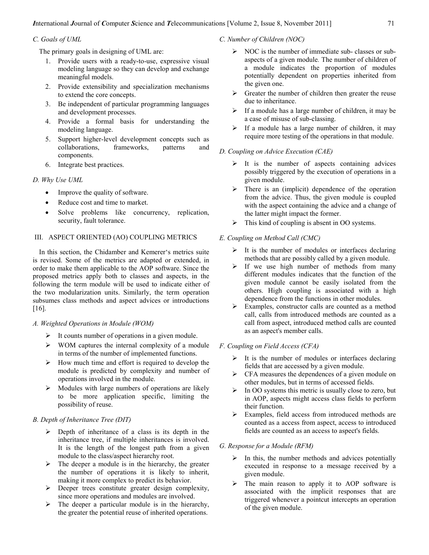# C. Goals of UML

The primary goals in designing of UML are:

- 1. Provide users with a ready-to-use, expressive visual modeling language so they can develop and exchange meaningful models.
- 2. Provide extensibility and specialization mechanisms to extend the core concepts.
- 3. Be independent of particular programming languages and development processes.
- 4. Provide a formal basis for understanding the modeling language.
- 5. Support higher-level development concepts such as collaborations. frameworks, patterns and collaborations, frameworks, patterns and components.
- 6. Integrate best practices.

# D. Why Use UML

- Improve the quality of software.
- Reduce cost and time to market.
- Solve problems like concurrency, replication, security, fault tolerance.

# III. ASPECT ORIENTED (AO) COUPLING METRICS

In this section, the Chidamber and Kemerer's metrics suite is revised. Some of the metrics are adapted or extended, in order to make them applicable to the AOP software. Since the proposed metrics apply both to classes and aspects, in the following the term module will be used to indicate either of the two modularization units. Similarly, the term operation subsumes class methods and aspect advices or introductions [16].

## A. Weighted Operations in Module (WOM)

- $\triangleright$  It counts number of operations in a given module.
- $\triangleright$  WOM captures the internal complexity of a module in terms of the number of implemented functions.
- $\triangleright$  How much time and effort is required to develop the module is predicted by complexity and number of operations involved in the module.
- $\triangleright$  Modules with large numbers of operations are likely to be more application specific, limiting the possibility of reuse.

# B. Depth of Inheritance Tree (DIT)

- $\triangleright$  Depth of inheritance of a class is its depth in the inheritance tree, if multiple inheritances is involved. It is the length of the longest path from a given module to the class/aspect hierarchy root.
- $\triangleright$  The deeper a module is in the hierarchy, the greater the number of operations it is likely to inherit, making it more complex to predict its behavior.
- $\triangleright$  Deeper trees constitute greater design complexity, since more operations and modules are involved.
- $\triangleright$  The deeper a particular module is in the hierarchy, the greater the potential reuse of inherited operations.

C. Number of Children (NOC)

- $\triangleright$  NOC is the number of immediate sub-classes or subaspects of a given module. The number of children of a module indicates the proportion of modules potentially dependent on properties inherited from the given one.
- $\triangleright$  Greater the number of children then greater the reuse due to inheritance.
- $\triangleright$  If a module has a large number of children, it may be a case of misuse of sub-classing.
- $\triangleright$  If a module has a large number of children, it may require more testing of the operations in that module.

## D. Coupling on Advice Execution (CAE)

- $\triangleright$  It is the number of aspects containing advices possibly triggered by the execution of operations in a given module.
- $\triangleright$  There is an (implicit) dependence of the operation from the advice. Thus, the given module is coupled with the aspect containing the advice and a change of the latter might impact the former.
- $\triangleright$  This kind of coupling is absent in OO systems.

# E. Coupling on Method Call (CMC)

- $\triangleright$  It is the number of modules or interfaces declaring methods that are possibly called by a given module.
- $\triangleright$  If we use high number of methods from many different modules indicates that the function of the given module cannot be easily isolated from the others. High coupling is associated with a high dependence from the functions in other modules.
- $\triangleright$  Examples, constructor calls are counted as a method call, calls from introduced methods are counted as a call from aspect, introduced method calls are counted as an aspect's member calls.

# F. Coupling on Field Access (CFA)

- $\triangleright$  It is the number of modules or interfaces declaring fields that are accessed by a given module.
- $\triangleright$  CFA measures the dependences of a given module on other modules, but in terms of accessed fields.
- $\triangleright$  In OO systems this metric is usually close to zero, but in AOP, aspects might access class fields to perform their function.
- $\triangleright$  Examples, field access from introduced methods are counted as a access from aspect, access to introduced fields are counted as an access to aspect's fields.

## G. Response for a Module (RFM)

- $\triangleright$  In this, the number methods and advices potentially executed in response to a message received by a given module.
- $\triangleright$  The main reason to apply it to AOP software is associated with the implicit responses that are triggered whenever a pointcut intercepts an operation of the given module.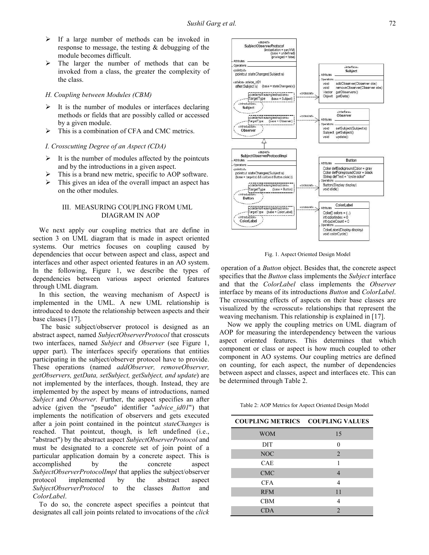- $\triangleright$  If a large number of methods can be invoked in response to message, the testing & debugging of the module becomes difficult.
- $\triangleright$  The larger the number of methods that can be invoked from a class, the greater the complexity of the class.

## H. Coupling between Modules (CBM)

- $\triangleright$  It is the number of modules or interfaces declaring methods or fields that are possibly called or accessed by a given module.
- $\triangleright$  This is a combination of CFA and CMC metrics.

## I. Crosscutting Degree of an Aspect (CDA)

- $\triangleright$  It is the number of modules affected by the pointcuts and by the introductions in a given aspect.
- $\triangleright$  This is a brand new metric, specific to AOP software.
- $\triangleright$  This gives an idea of the overall impact an aspect has on the other modules.

## III. MEASURING COUPLING FROM UML DIAGRAM IN AOP

We next apply our coupling metrics that are define in section 3 on UML diagram that is made in aspect oriented systems. Our metrics focuses on coupling caused by dependencies that occur between aspect and class, aspect and interfaces and other aspect oriented features in an AO system. In the following, Figure 1, we describe the types of dependencies between various aspect oriented features through UML diagram.

In this section, the weaving mechanism of AspectJ is implemented in the UML. A new UML relationship is introduced to denote the relationship between aspects and their base classes [17].

 The basic subject/observer protocol is designed as an abstract aspect, named SubjectObserverProtocol that crosscuts two interfaces, named Subject and Observer (see Figure 1, upper part). The interfaces specify operations that entities participating in the subject/observer protocol have to provide. These operations (named *addObserver*, *removeObserver*, getObservers, getData, setSubject, getSubject, and update) are not implemented by the interfaces, though. Instead, they are implemented by the aspect by means of introductions, named Subject and Observer. Further, the aspect specifies an after advice (given the "pseudo" identifier "advice  $id01$ ") that implements the notification of observers and gets executed after a join point contained in the pointcut stateChanges is reached. That pointcut, though, is left undefined (i.e., "abstract") by the abstract aspect SubjectObserverProtocol and must be designated to a concrete set of join point of a particular application domain by a concrete aspect. This is accomplished by the concrete aspect SubjectObserverProtocolImpl that applies the subject/observer protocol implemented by the abstract aspect SubjectObserverProtocol to the classes Button and ColorLabel.

To do so, the concrete aspect specifies a pointcut that designates all call join points related to invocations of the click



Fig. 1. Aspect Oriented Design Model

 operation of a Button object. Besides that, the concrete aspect specifies that the *Button* class implements the *Subject* interface and that the ColorLabel class implements the Observer interface by means of its introductions Button and ColorLabel. The crosscutting effects of aspects on their base classes are visualized by the «crosscut» relationships that represent the weaving mechanism. This relationship is explained in [17].

 Now we apply the coupling metrics on UML diagram of AOP for measuring the interdependency between the various aspect oriented features. This determines that which component or class or aspect is how much coupled to other component in AO systems. Our coupling metrics are defined on counting, for each aspect, the number of dependencies between aspect and classes, aspect and interfaces etc. This can be determined through Table 2.

Table 2: AOP Metrics for Aspect Oriented Design Model

| <b>COUPLING METRICS</b> | <b>COUPLING VALUES</b> |
|-------------------------|------------------------|
| <b>WOM</b>              | 15                     |
| <b>DIT</b>              | $\Omega$               |
| <b>NOC</b>              | $\overline{2}$         |
| <b>CAE</b>              |                        |
| <b>CMC</b>              | 4                      |
| <b>CFA</b>              | 4                      |
| <b>RFM</b>              | 11                     |
| <b>CBM</b>              | 4                      |
| <b>CDA</b>              | $\mathfrak{D}$         |